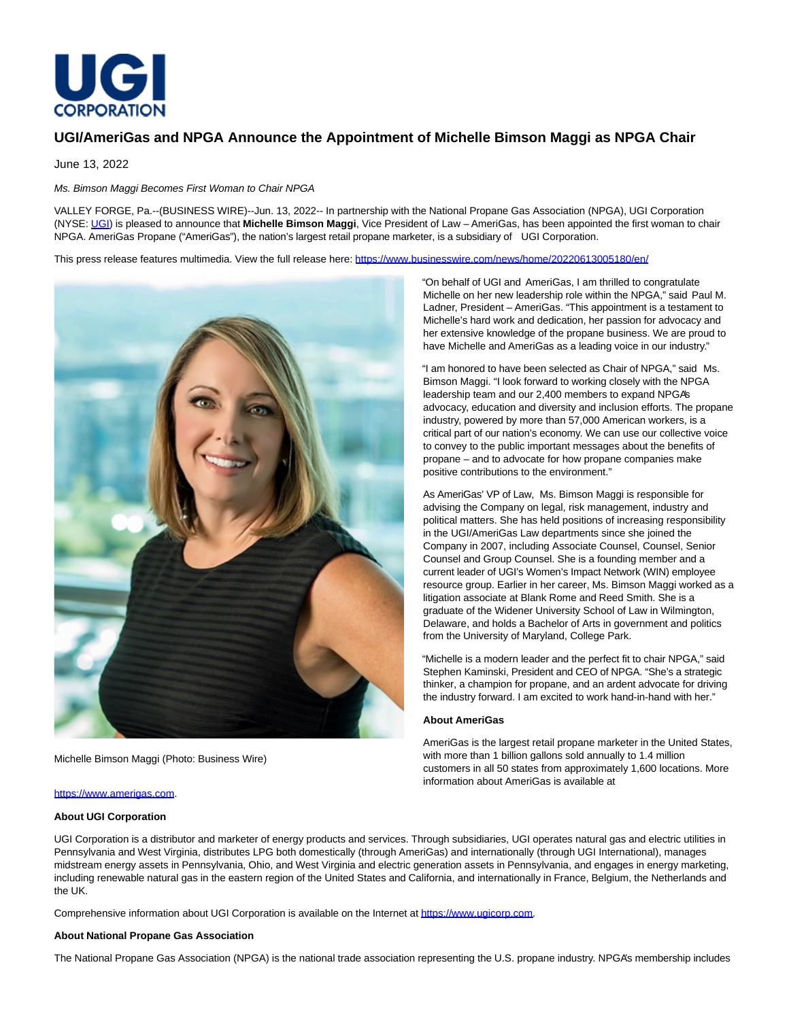

# **UGI/AmeriGas and NPGA Announce the Appointment of Michelle Bimson Maggi as NPGA Chair**

June 13, 2022

# Ms. Bimson Maggi Becomes First Woman to Chair NPGA

VALLEY FORGE, Pa.--(BUSINESS WIRE)--Jun. 13, 2022-- In partnership with the National Propane Gas Association (NPGA), UGI Corporation (NYSE: [UGI\)](https://cts.businesswire.com/ct/CT?id=smartlink&url=https%3A%2F%2Fwww.ugicorp.com%2Finvestors%2Finvestor-overview%2Foverview&esheet=52746642&newsitemid=20220613005180&lan=en-US&anchor=UGI&index=1&md5=f5cc1b3e4fdd331636141b6b9e079f7c) is pleased to announce that **Michelle Bimson Maggi**, Vice President of Law – AmeriGas, has been appointed the first woman to chair NPGA. AmeriGas Propane ("AmeriGas"), the nation's largest retail propane marketer, is a subsidiary of UGI Corporation.

This press release features multimedia. View the full release here:<https://www.businesswire.com/news/home/20220613005180/en/>



Michelle Bimson Maggi (Photo: Business Wire)

#### [https://www.amerigas.com.](https://cts.businesswire.com/ct/CT?id=smartlink&url=https%3A%2F%2Fwww.amerigas.com&esheet=52746642&newsitemid=20220613005180&lan=en-US&anchor=https%3A%2F%2Fwww.amerigas.com&index=2&md5=8b42b06be4798fcea8caa6aa334cb3ea)

### **About UGI Corporation**

"On behalf of UGI and AmeriGas, I am thrilled to congratulate Michelle on her new leadership role within the NPGA," said Paul M. Ladner, President – AmeriGas. "This appointment is a testament to Michelle's hard work and dedication, her passion for advocacy and her extensive knowledge of the propane business. We are proud to have Michelle and AmeriGas as a leading voice in our industry."

"I am honored to have been selected as Chair of NPGA," said Ms. Bimson Maggi. "I look forward to working closely with the NPGA leadership team and our 2,400 members to expand NPGA's advocacy, education and diversity and inclusion efforts. The propane industry, powered by more than 57,000 American workers, is a critical part of our nation's economy. We can use our collective voice to convey to the public important messages about the benefits of propane – and to advocate for how propane companies make positive contributions to the environment."

As AmeriGas' VP of Law, Ms. Bimson Maggi is responsible for advising the Company on legal, risk management, industry and political matters. She has held positions of increasing responsibility in the UGI/AmeriGas Law departments since she joined the Company in 2007, including Associate Counsel, Counsel, Senior Counsel and Group Counsel. She is a founding member and a current leader of UGI's Women's Impact Network (WIN) employee resource group. Earlier in her career, Ms. Bimson Maggi worked as a litigation associate at Blank Rome and Reed Smith. She is a graduate of the Widener University School of Law in Wilmington, Delaware, and holds a Bachelor of Arts in government and politics from the University of Maryland, College Park.

"Michelle is a modern leader and the perfect fit to chair NPGA," said Stephen Kaminski, President and CEO of NPGA. "She's a strategic thinker, a champion for propane, and an ardent advocate for driving the industry forward. I am excited to work hand-in-hand with her."

## **About AmeriGas**

AmeriGas is the largest retail propane marketer in the United States, with more than 1 billion gallons sold annually to 1.4 million customers in all 50 states from approximately 1,600 locations. More information about AmeriGas is available at

UGI Corporation is a distributor and marketer of energy products and services. Through subsidiaries, UGI operates natural gas and electric utilities in Pennsylvania and West Virginia, distributes LPG both domestically (through AmeriGas) and internationally (through UGI International), manages midstream energy assets in Pennsylvania, Ohio, and West Virginia and electric generation assets in Pennsylvania, and engages in energy marketing, including renewable natural gas in the eastern region of the United States and California, and internationally in France, Belgium, the Netherlands and the UK.

Comprehensive information about UGI Corporation is available on the Internet at [https://www.ugicorp.com.](https://cts.businesswire.com/ct/CT?id=smartlink&url=https%3A%2F%2Fwww.ugicorp.com&esheet=52746642&newsitemid=20220613005180&lan=en-US&anchor=https%3A%2F%2Fwww.ugicorp.com&index=3&md5=9e0b6c91288e3ea320a4dfa96e834175)

# **About National Propane Gas Association**

The National Propane Gas Association (NPGA) is the national trade association representing the U.S. propane industry. NPGA's membership includes